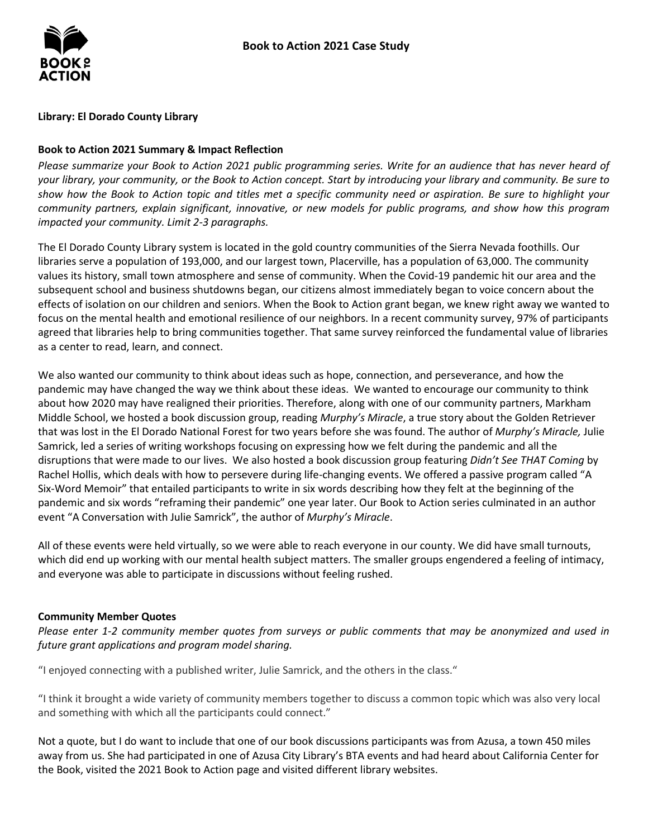

#### **Library: El Dorado County Library**

### **Book to Action 2021 Summary & Impact Reflection**

 *your library, your community, or the Book to Action concept. Start by introducing your library and community. Be sure to show how the Book to Action topic and titles met a specific community need or aspiration. Be sure to highlight your Please summarize your Book to Action 2021 public programming series. Write for an audience that has never heard of community partners, explain significant, innovative, or new models for public programs, and show how this program impacted your community. Limit 2-3 paragraphs.* 

 libraries serve a population of 193,000, and our largest town, Placerville, has a population of 63,000. The community subsequent school and business shutdowns began, our citizens almost immediately began to voice concern about the effects of isolation on our children and seniors. When the Book to Action grant began, we knew right away we wanted to focus on the mental health and emotional resilience of our neighbors. In a recent community survey, 97% of participants as a center to read, learn, and connect. The El Dorado County Library system is located in the gold country communities of the Sierra Nevada foothills. Our values its history, small town atmosphere and sense of community. When the Covid-19 pandemic hit our area and the agreed that libraries help to bring communities together. That same survey reinforced the fundamental value of libraries

as a center to read, learn, and connect.<br>We also wanted our community to think about ideas such as hope, connection, and perseverance, and how the pandemic may have changed the way we think about these ideas. We wanted to encourage our community to think about how 2020 may have realigned their priorities. Therefore, along with one of our community partners, Markham Samrick, led a series of writing workshops focusing on expressing how we felt during the pandemic and all the disruptions that were made to our lives. We also hosted a book discussion group featuring *Didn't See THAT Coming* by Six-Word Memoir" that entailed participants to write in six words describing how they felt at the beginning of the Middle School, we hosted a book discussion group, reading *Murphy's Miracle*, a true story about the Golden Retriever that was lost in the El Dorado National Forest for two years before she was found. The author of *Murphy's Miracle,* Julie Rachel Hollis, which deals with how to persevere during life-changing events. We offered a passive program called "A pandemic and six words "reframing their pandemic" one year later. Our Book to Action series culminated in an author event "A Conversation with Julie Samrick", the author of *Murphy's Miracle*.

 All of these events were held virtually, so we were able to reach everyone in our county. We did have small turnouts, which did end up working with our mental health subject matters. The smaller groups engendered a feeling of intimacy, and everyone was able to participate in discussions without feeling rushed.

#### **Community Member Quotes**

 *future grant applications and program model sharing. Please enter 1-2 community member quotes from surveys or public comments that may be anonymized and used in* 

"I enjoyed connecting with a published writer, Julie Samrick, and the others in the class."

 "I think it brought a wide variety of community members together to discuss a common topic which was also very local and something with which all the participants could connect."

 Not a quote, but I do want to include that one of our book discussions participants was from Azusa, a town 450 miles away from us. She had participated in one of Azusa City Library's BTA events and had heard about California Center for the Book, visited the 2021 Book to Action page and visited different library websites.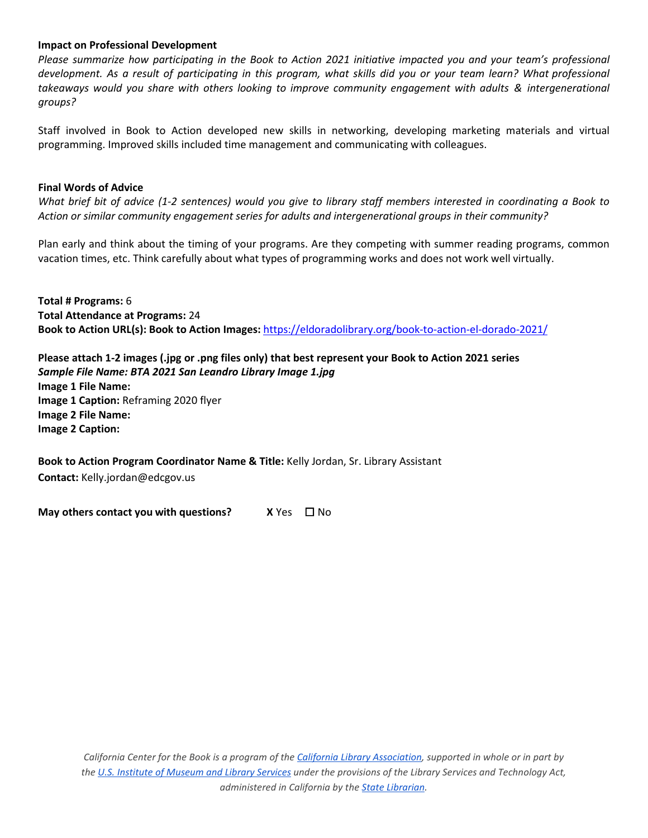#### **Impact on Professional Development**

 *development. As a result of participating in this program, what skills did you or your team learn? What professional*  takeaways would you share with others looking to improve community engagement with adults & intergenerational *Please summarize how participating in the Book to Action 2021 initiative impacted you and your team's professional groups?* 

 Staff involved in Book to Action developed new skills in networking, developing marketing materials and virtual programming. Improved skills included time management and communicating with colleagues.

#### **Final Words of Advice**

 *Action or similar community engagement series for adults and intergenerational groups in their community? What brief bit of advice (1-2 sentences) would you give to library staff members interested in coordinating a Book to* 

 vacation times, etc. Think carefully about what types of programming works and does not work well virtually. Plan early and think about the timing of your programs. Are they competing with summer reading programs, common

 **Total # Programs:** 6 **Total Attendance at Programs:** 24 **Book to Action URL(s): Book to Action Images:** <https://eldoradolibrary.org/book-to-action-el-dorado-2021/>

 **Please attach 1-2 images (.jpg or .png files only) that best represent your Book to Action 2021 series**   *Sample File Name: BTA 2021 San Leandro Library Image 1.jpg*  **Image 2 File Name: Image 2 Caption: Image 2 File Name:**<br>**Image 2 Caption:**<br>**Book to Action Program Coordinator Name & Title:** Kelly Jordan, Sr. Library Assistant **Image 1 File Name: Image 1 Caption:** Reframing 2020 flyer

**Contact:** Kelly.jordan@edcgov.us

**May others contact you with questions?** X Yes □ No